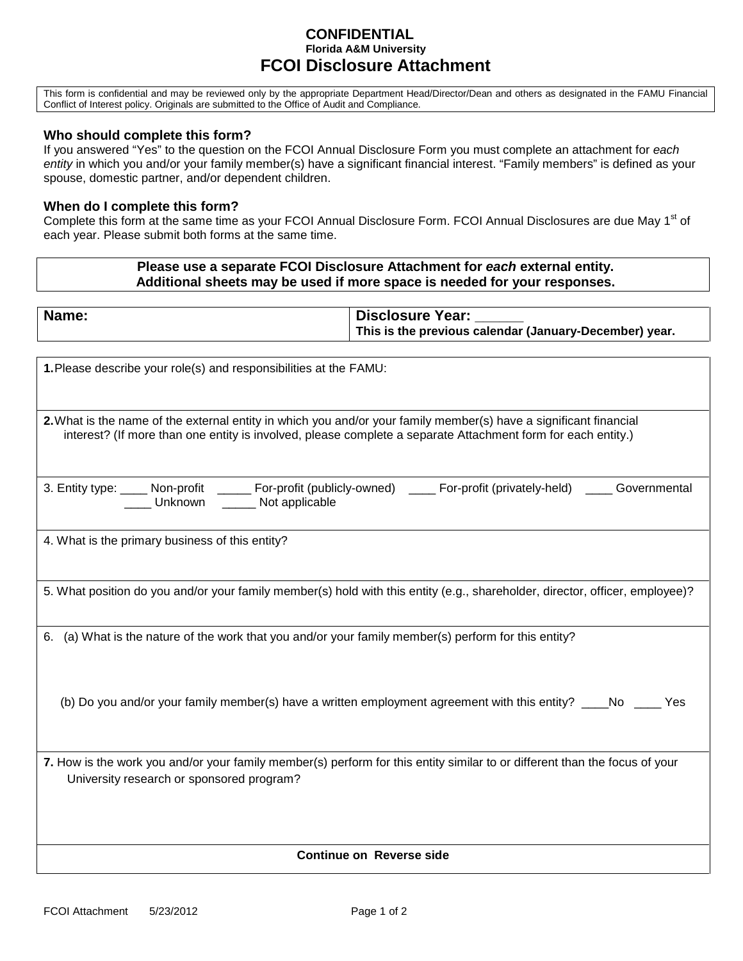## **CONFIDENTIAL Florida A&M University FCOI Disclosure Attachment**

This form is confidential and may be reviewed only by the appropriate Department Head/Director/Dean and others as designated in the FAMU Financial Conflict of Interest policy. Originals are submitted to the Office of Audit and Compliance.

## **Who should complete this form?**

If you answered "Yes" to the question on the FCOI Annual Disclosure Form you must complete an attachment for *each entity* in which you and/or your family member(s) have a significant financial interest. "Family members" is defined as your spouse, domestic partner, and/or dependent children.

## **When do I complete this form?**

Complete this form at the same time as your FCOI Annual Disclosure Form. FCOI Annual Disclosures are due May 1<sup>st</sup> of each year. Please submit both forms at the same time.

## **Please use a separate FCOI Disclosure Attachment for** *each* **external entity. Additional sheets may be used if more space is needed for your responses.**

| Name:                                                                                                                                                                   | <b>Disclosure Year:</b><br>This is the previous calendar (January-December) year.                             |
|-------------------------------------------------------------------------------------------------------------------------------------------------------------------------|---------------------------------------------------------------------------------------------------------------|
|                                                                                                                                                                         |                                                                                                               |
| 1. Please describe your role(s) and responsibilities at the FAMU:                                                                                                       |                                                                                                               |
| 2. What is the name of the external entity in which you and/or your family member(s) have a significant financial                                                       |                                                                                                               |
| interest? (If more than one entity is involved, please complete a separate Attachment form for each entity.)                                                            |                                                                                                               |
|                                                                                                                                                                         |                                                                                                               |
| 3. Entity type: ____ Non-profit _____ For-profit (publicly-owned) ____ For-profit (privately-held) ____ Governmental _____ Unknown _____ Not applicable                 |                                                                                                               |
| 4. What is the primary business of this entity?                                                                                                                         |                                                                                                               |
|                                                                                                                                                                         |                                                                                                               |
| 5. What position do you and/or your family member(s) hold with this entity (e.g., shareholder, director, officer, employee)?                                            |                                                                                                               |
| 6. (a) What is the nature of the work that you and/or your family member(s) perform for this entity?                                                                    |                                                                                                               |
|                                                                                                                                                                         |                                                                                                               |
|                                                                                                                                                                         |                                                                                                               |
|                                                                                                                                                                         | (b) Do you and/or your family member(s) have a written employment agreement with this entity? ____No ____ Yes |
|                                                                                                                                                                         |                                                                                                               |
| 7. How is the work you and/or your family member(s) perform for this entity similar to or different than the focus of your<br>University research or sponsored program? |                                                                                                               |
|                                                                                                                                                                         |                                                                                                               |
|                                                                                                                                                                         |                                                                                                               |
| <b>Continue on Reverse side</b>                                                                                                                                         |                                                                                                               |